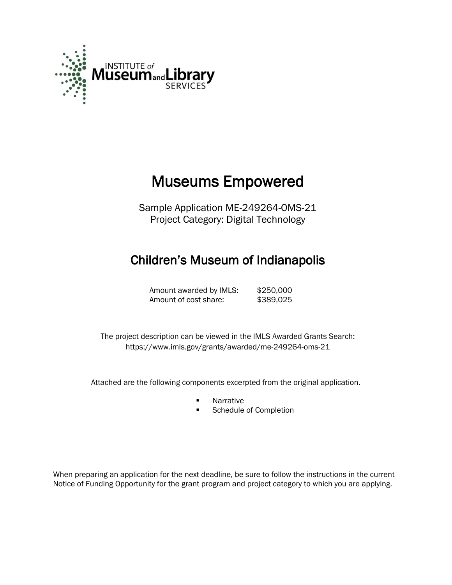

# Museums Empowered

Sample Application ME-249264-OMS-21 Project Category: Digital Technology

# Children's Museum of Indianapolis

Amount awarded by IMLS: \$250,000 Amount of cost share: \$389,025

 The project description can be viewed in the IMLS Awarded Grants Search: <https://www.imls.gov/grants/awarded/me-249264-oms-21>

Attached are the following components excerpted from the original application.

- **Narrative**
- **Schedule of Completion**

When preparing an application for the next deadline, be sure to follow the instructions in the current Notice of Funding Opportunity for the grant program and project category to which you are applying.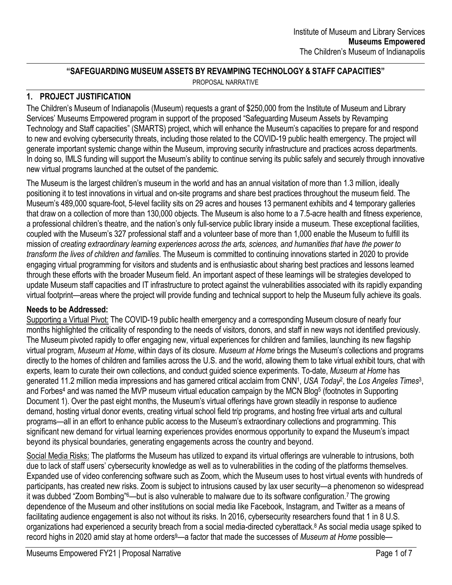#### **"SAFEGUARDING MUSEUM ASSETS BY REVAMPING TECHNOLOGY & STAFF CAPACITIES"**

PROPOSAL NARRATIVE

# **1. PROJECT JUSTIFICATION**

The Children's Museum of Indianapolis (Museum) requests a grant of \$250,000 from the Institute of Museum and Library Services' Museums Empowered program in support of the proposed "Safeguarding Museum Assets by Revamping Technology and Staff capacities" (SMARTS) project, which will enhance the Museum's capacities to prepare for and respond to new and evolving cybersecurity threats, including those related to the COVID-19 public health emergency. The project will generate important systemic change within the Museum, improving security infrastructure and practices across departments. In doing so, IMLS funding will support the Museum's ability to continue serving its public safely and securely through innovative new virtual programs launched at the outset of the pandemic.

The Museum is the largest children's museum in the world and has an annual visitation of more than 1.3 million, ideally positioning it to test innovations in virtual and on-site programs and share best practices throughout the museum field. The Museum's 489,000 square-foot, 5-level facility sits on 29 acres and houses 13 permanent exhibits and 4 temporary galleries that draw on a collection of more than 130,000 objects. The Museum is also home to a 7.5-acre health and fitness experience, a professional children's theatre, and the nation's only full-service public library inside a museum. These exceptional facilities, coupled with the Museum's 327 professional staff and a volunteer base of more than 1,000 enable the Museum to fulfill its mission of *creating extraordinary learning experiences across the arts, sciences, and humanities that have the power to transform the lives of children and families*. The Museum is committed to continuing innovations started in 2020 to provide engaging virtual programming for visitors and students and is enthusiastic about sharing best practices and lessons learned through these efforts with the broader Museum field. An important aspect of these learnings will be strategies developed to update Museum staff capacities and IT infrastructure to protect against the vulnerabilities associated with its rapidly expanding virtual footprint—areas where the project will provide funding and technical support to help the Museum fully achieve its goals.

# **Needs to be Addressed:**

Supporting a Virtual Pivot: The COVID-19 public health emergency and a corresponding Museum closure of nearly four months highlighted the criticality of responding to the needs of visitors, donors, and staff in new ways not identified previously. The Museum pivoted rapidly to offer engaging new, virtual experiences for children and families, launching its new flagship virtual program, *Museum at Home*, within days of its closure. *Museum at Home* brings the Museum's collections and programs directly to the homes of children and families across the U.S. and the world, allowing them to take virtual exhibit tours, chat with experts, learn to curate their own collections, and conduct guided science experiments. To-date, *Museum at Home* has generated 11.2 million media impressions and has garnered critical acclaim from CNN<sup>1</sup> , *USA Today*<sup>2</sup> , the *Los Angeles Times*<sup>3</sup> , and Forbes<sup>4</sup> and was named the MVP museum virtual education campaign by the MCN Blog<sup>5</sup> (footnotes in Supporting Document 1). Over the past eight months, the Museum's virtual offerings have grown steadily in response to audience demand, hosting virtual donor events, creating virtual school field trip programs, and hosting free virtual arts and cultural programs—all in an effort to enhance public access to the Museum's extraordinary collections and programming. This significant new demand for virtual learning experiences provides enormous opportunity to expand the Museum's impact beyond its physical boundaries, generating engagements across the country and beyond.

Social Media Risks: The platforms the Museum has utilized to expand its virtual offerings are vulnerable to intrusions, both due to lack of staff users' cybersecurity knowledge as well as to vulnerabilities in the coding of the platforms themselves. Expanded use of video conferencing software such as Zoom, which the Museum uses to host virtual events with hundreds of participants, has created new risks. Zoom is subject to intrusions caused by lax user security—a phenomenon so widespread it was dubbed "Zoom Bombing"6—but is also vulnerable to malware due to its software configuration.<sup>7</sup> The growing dependence of the Museum and other institutions on social media like Facebook, Instagram, and Twitter as a means of facilitating audience engagement is also not without its risks. In 2016, cybersecurity researchers found that 1 in 8 U.S. organizations had experienced a security breach from a social media-directed cyberattack.<sup>8</sup> As social media usage spiked to record highs in 2020 amid stay at home orders9—a factor that made the successes of *Museum at Home* possible—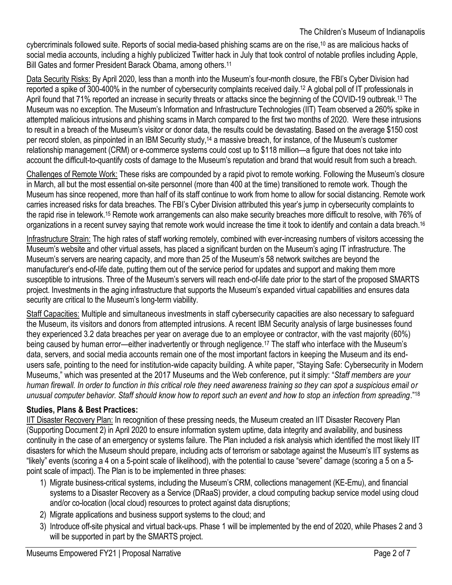#### The Children's Museum of Indianapolis

cybercriminals followed suite. Reports of social media-based phishing scams are on the rise,<sup>10</sup> as are malicious hacks of social media accounts, including a highly publicized Twitter hack in July that took control of notable profiles including Apple, Bill Gates and former President Barack Obama, among others.<sup>11</sup>

Data Security Risks: By April 2020, less than a month into the Museum's four-month closure, the FBI's Cyber Division had reported a spike of 300-400% in the number of cybersecurity complaints received daily.<sup>12</sup> A global poll of IT professionals in April found that 71% reported an increase in security threats or attacks since the beginning of the COVID-19 outbreak.<sup>13</sup> The Museum was no exception. The Museum's Information and Infrastructure Technologies (IIT) Team observed a 260% spike in attempted malicious intrusions and phishing scams in March compared to the first two months of 2020. Were these intrusions to result in a breach of the Museum's visitor or donor data, the results could be devastating. Based on the average \$150 cost per record stolen, as pinpointed in an IBM Security study,<sup>14</sup> a massive breach, for instance, of the Museum's customer relationship management (CRM) or e-commerce systems could cost up to \$118 million—a figure that does not take into account the difficult-to-quantify costs of damage to the Museum's reputation and brand that would result from such a breach.

Challenges of Remote Work: These risks are compounded by a rapid pivot to remote working. Following the Museum's closure in March, all but the most essential on-site personnel (more than 400 at the time) transitioned to remote work. Though the Museum has since reopened, more than half of its staff continue to work from home to allow for social distancing. Remote work carries increased risks for data breaches. The FBI's Cyber Division attributed this year's jump in cybersecurity complaints to the rapid rise in telework.<sup>15</sup> Remote work arrangements can also make security breaches more difficult to resolve, with 76% of organizations in a recent survey saying that remote work would increase the time it took to identify and contain a data breach.<sup>16</sup>

Infrastructure Strain: The high rates of staff working remotely, combined with ever-increasing numbers of visitors accessing the Museum's website and other virtual assets, has placed a significant burden on the Museum's aging IT infrastructure. The Museum's servers are nearing capacity, and more than 25 of the Museum's 58 network switches are beyond the manufacturer's end-of-life date, putting them out of the service period for updates and support and making them more susceptible to intrusions. Three of the Museum's servers will reach end-of-life date prior to the start of the proposed SMARTS project. Investments in the aging infrastructure that supports the Museum's expanded virtual capabilities and ensures data security are critical to the Museum's long-term viability.

Staff Capacities: Multiple and simultaneous investments in staff cybersecurity capacities are also necessary to safeguard the Museum, its visitors and donors from attempted intrusions. A recent IBM Security analysis of large businesses found they experienced 3.2 data breaches per year on average due to an employee or contractor, with the vast majority (60%) being caused by human error—either inadvertently or through negligence.<sup>17</sup> The staff who interface with the Museum's data, servers, and social media accounts remain one of the most important factors in keeping the Museum and its endusers safe, pointing to the need for institution-wide capacity building. A white paper, "Staying Safe: Cybersecurity in Modern Museums," which was presented at the 2017 Museums and the Web conference, put it simply: "*Staff members are your human firewall. In order to function in this critical role they need awareness training so they can spot a suspicious email or unusual computer behavior. Staff should know how to report such an event and how to stop an infection from spreading*."<sup>18</sup>

# **Studies, Plans & Best Practices:**

IIT Disaster Recovery Plan: In recognition of these pressing needs, the Museum created an IIT Disaster Recovery Plan (Supporting Document 2) in April 2020 to ensure information system uptime, data integrity and availability, and business continuity in the case of an emergency or systems failure. The Plan included a risk analysis which identified the most likely IIT disasters for which the Museum should prepare, including acts of terrorism or sabotage against the Museum's IIT systems as "likely" events (scoring a 4 on a 5-point scale of likelihood), with the potential to cause "severe" damage (scoring a 5 on a 5 point scale of impact). The Plan is to be implemented in three phases:

- 1) Migrate business-critical systems, including the Museum's CRM, collections management (KE-Emu), and financial systems to a Disaster Recovery as a Service (DRaaS) provider, a cloud computing backup service model using cloud and/or co-location (local cloud) resources to protect against data disruptions;
- 2) Migrate applications and business support systems to the cloud; and
- 3) Introduce off-site physical and virtual back-ups. Phase 1 will be implemented by the end of 2020, while Phases 2 and 3 will be supported in part by the SMARTS project.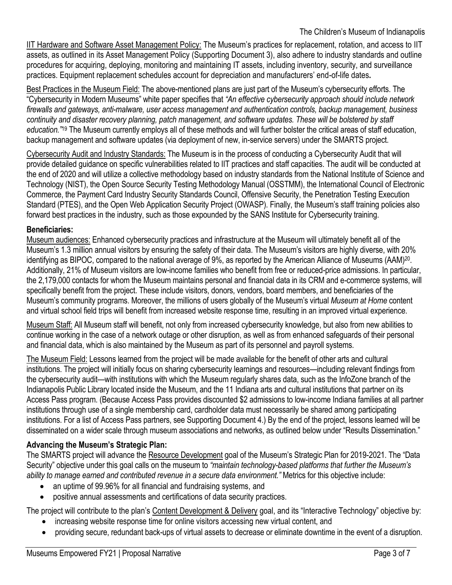The Children's Museum of Indianapolis

IIT Hardware and Software Asset Management Policy: The Museum's practices for replacement, rotation, and access to IIT assets, as outlined in its Asset Management Policy (Supporting Document 3), also adhere to industry standards and outline procedures for acquiring, deploying, monitoring and maintaining IT assets, including inventory, security, and surveillance practices. Equipment replacement schedules account for depreciation and manufacturers' end-of-life dates**.** 

Best Practices in the Museum Field: The above-mentioned plans are just part of the Museum's cybersecurity efforts. The "Cybersecurity in Modern Museums" white paper specifies that *"An effective cybersecurity approach should include network firewalls and gateways, anti-malware, user access management and authentication controls, backup management, business continuity and disaster recovery planning, patch management, and software updates. These will be bolstered by staff education."*<sup>19</sup> The Museum currently employs all of these methods and will further bolster the critical areas of staff education, backup management and software updates (via deployment of new, in-service servers) under the SMARTS project.

Cybersecurity Audit and Industry Standards: The Museum is in the process of conducting a Cybersecurity Audit that will provide detailed guidance on specific vulnerabilities related to IIT practices and staff capacities. The audit will be conducted at the end of 2020 and will utilize a collective methodology based on industry standards from the National Institute of Science and Technology (NIST), the Open Source Security Testing Methodology Manual (OSSTMM), the International Council of Electronic Commerce, the Payment Card Industry Security Standards Council, Offensive Security, the Penetration Testing Execution Standard (PTES), and the Open Web Application Security Project (OWASP). Finally, the Museum's staff training policies also forward best practices in the industry, such as those expounded by the SANS Institute for Cybersecurity training.

#### **Beneficiaries:**

Museum audiences: Enhanced cybersecurity practices and infrastructure at the Museum will ultimately benefit all of the Museum's 1.3 million annual visitors by ensuring the safety of their data. The Museum's visitors are highly diverse, with 20% identifying as BIPOC, compared to the national average of 9%, as reported by the American Alliance of Museums (AAM)<sup>20</sup>. Additionally, 21% of Museum visitors are low-income families who benefit from free or reduced-price admissions. In particular, the 2,179,000 contacts for whom the Museum maintains personal and financial data in its CRM and e-commerce systems, will specifically benefit from the project. These include visitors, donors, vendors, board members, and beneficiaries of the Museum's community programs. Moreover, the millions of users globally of the Museum's virtual *Museum at Home* content and virtual school field trips will benefit from increased website response time, resulting in an improved virtual experience.

Museum Staff: All Museum staff will benefit, not only from increased cybersecurity knowledge, but also from new abilities to continue working in the case of a network outage or other disruption, as well as from enhanced safeguards of their personal and financial data, which is also maintained by the Museum as part of its personnel and payroll systems.

The Museum Field: Lessons learned from the project will be made available for the benefit of other arts and cultural institutions. The project will initially focus on sharing cybersecurity learnings and resources—including relevant findings from the cybersecurity audit—with institutions with which the Museum regularly shares data, such as the InfoZone branch of the Indianapolis Public Library located inside the Museum, and the 11 Indiana arts and cultural institutions that partner on its Access Pass program. (Because Access Pass provides discounted \$2 admissions to low-income Indiana families at all partner institutions through use of a single membership card, cardholder data must necessarily be shared among participating institutions. For a list of Access Pass partners, see Supporting Document 4.) By the end of the project, lessons learned will be disseminated on a wider scale through museum associations and networks, as outlined below under "Results Dissemination."

# **Advancing the Museum's Strategic Plan:**

The SMARTS project will advance the Resource Development goal of the Museum's Strategic Plan for 2019-2021. The "Data Security" objective under this goal calls on the museum to *"maintain technology-based platforms that further the Museum's ability to manage earned and contributed revenue in a secure data environment."* Metrics for this objective include:

- an uptime of 99.96% for all financial and fundraising systems, and
- positive annual assessments and certifications of data security practices.

The project will contribute to the plan's Content Development & Delivery goal, and its "Interactive Technology" objective by:

- increasing website response time for online visitors accessing new virtual content, and
- providing secure, redundant back-ups of virtual assets to decrease or eliminate downtime in the event of a disruption.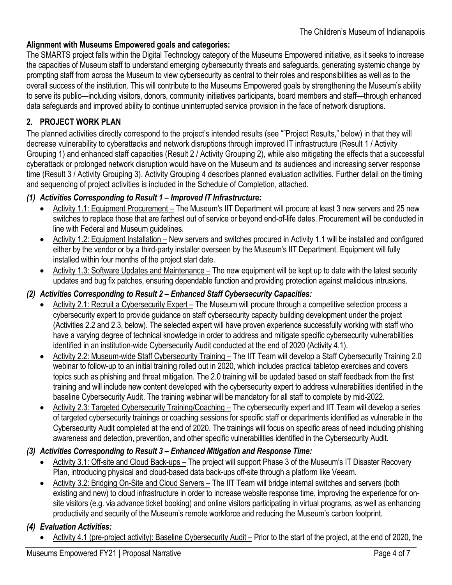#### **Alignment with Museums Empowered goals and categories:**

The SMARTS project falls within the Digital Technology category of the Museums Empowered initiative, as it seeks to increase the capacities of Museum staff to understand emerging cybersecurity threats and safeguards, generating systemic change by prompting staff from across the Museum to view cybersecurity as central to their roles and responsibilities as well as to the overall success of the institution. This will contribute to the Museums Empowered goals by strengthening the Museum's ability to serve its public—including visitors, donors, community initiatives participants, board members and staff—through enhanced data safeguards and improved ability to continue uninterrupted service provision in the face of network disruptions.

# **2. PROJECT WORK PLAN**

The planned activities directly correspond to the project's intended results (see ""Project Results," below) in that they will decrease vulnerability to cyberattacks and network disruptions through improved IT infrastructure (Result 1 / Activity Grouping 1) and enhanced staff capacities (Result 2 / Activity Grouping 2), while also mitigating the effects that a successful cyberattack or prolonged network disruption would have on the Museum and its audiences and increasing server response time (Result 3 / Activity Grouping 3). Activity Grouping 4 describes planned evaluation activities. Further detail on the timing and sequencing of project activities is included in the Schedule of Completion, attached.

#### *(1) Activities Corresponding to Result 1 – Improved IT Infrastructure:*

- Activity 1.1: Equipment Procurement The Museum's IIT Department will procure at least 3 new servers and 25 new switches to replace those that are farthest out of service or beyond end-of-life dates. Procurement will be conducted in line with Federal and Museum guidelines.
- Activity 1.2: Equipment Installation New servers and switches procured in Activity 1.1 will be installed and configured either by the vendor or by a third-party installer overseen by the Museum's IIT Department. Equipment will fully installed within four months of the project start date.
- Activity 1.3: Software Updates and Maintenance The new equipment will be kept up to date with the latest security updates and bug fix patches, ensuring dependable function and providing protection against malicious intrusions.

#### *(2) Activities Corresponding to Result 2 – Enhanced Staff Cybersecurity Capacities:*

- Activity 2.1: Recruit a Cybersecurity Expert The Museum will procure through a competitive selection process a cybersecurity expert to provide guidance on staff cybersecurity capacity building development under the project (Activities 2.2 and 2.3, below). The selected expert will have proven experience successfully working with staff who have a varying degree of technical knowledge in order to address and mitigate specific cybersecurity vulnerabilities identified in an institution-wide Cybersecurity Audit conducted at the end of 2020 (Activity 4.1).
- Activity 2.2: Museum-wide Staff Cybersecurity Training The IIT Team will develop a Staff Cybersecurity Training 2.0 webinar to follow-up to an initial training rolled out in 2020, which includes practical tabletop exercises and covers topics such as phishing and threat mitigation. The 2.0 training will be updated based on staff feedback from the first training and will include new content developed with the cybersecurity expert to address vulnerabilities identified in the baseline Cybersecurity Audit. The training webinar will be mandatory for all staff to complete by mid-2022.
- Activity 2.3: Targeted Cybersecurity Training/Coaching The cybersecurity expert and IIT Team will develop a series of targeted cybersecurity trainings or coaching sessions for specific staff or departments identified as vulnerable in the Cybersecurity Audit completed at the end of 2020. The trainings will focus on specific areas of need including phishing awareness and detection, prevention, and other specific vulnerabilities identified in the Cybersecurity Audit.

#### *(3) Activities Corresponding to Result 3 – Enhanced Mitigation and Response Time:*

- Activity 3.1: Off-site and Cloud Back-ups The project will support Phase 3 of the Museum's IT Disaster Recovery Plan, introducing physical and cloud-based data back-ups off-site through a platform like Veeam.
- Activity 3.2: Bridging On-Site and Cloud Servers The IIT Team will bridge internal switches and servers (both existing and new) to cloud infrastructure in order to increase website response time, improving the experience for onsite visitors (e.g. via advance ticket booking) and online visitors participating in virtual programs, as well as enhancing productivity and security of the Museum's remote workforce and reducing the Museum's carbon footprint.

# *(4) Evaluation Activities:*

Activity 4.1 (pre-project activity): Baseline Cybersecurity Audit – Prior to the start of the project, at the end of 2020, the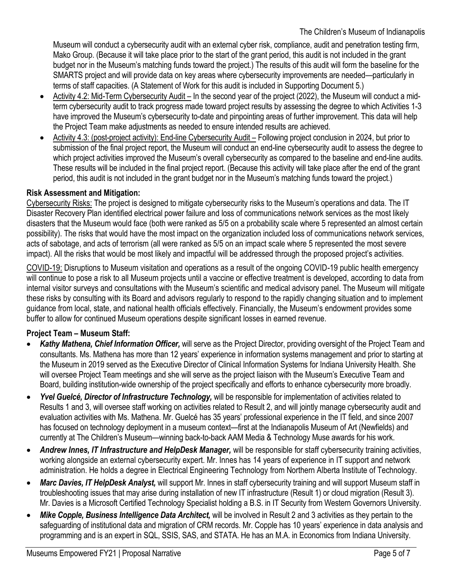Museum will conduct a cybersecurity audit with an external cyber risk, compliance, audit and penetration testing firm, Mako Group. (Because it will take place prior to the start of the grant period, this audit is not included in the grant budget nor in the Museum's matching funds toward the project.) The results of this audit will form the baseline for the SMARTS project and will provide data on key areas where cybersecurity improvements are needed—particularly in terms of staff capacities. (A Statement of Work for this audit is included in Supporting Document 5.)

- Activity 4.2: Mid-Term Cybersecurity Audit In the second year of the project (2022), the Museum will conduct a midterm cybersecurity audit to track progress made toward project results by assessing the degree to which Activities 1-3 have improved the Museum's cybersecurity to-date and pinpointing areas of further improvement. This data will help the Project Team make adjustments as needed to ensure intended results are achieved.
- Activity 4.3: (post-project activity): End-line Cybersecurity Audit Following project conclusion in 2024, but prior to submission of the final project report, the Museum will conduct an end-line cybersecurity audit to assess the degree to which project activities improved the Museum's overall cybersecurity as compared to the baseline and end-line audits. These results will be included in the final project report. (Because this activity will take place after the end of the grant period, this audit is not included in the grant budget nor in the Museum's matching funds toward the project.)

# **Risk Assessment and Mitigation:**

Cybersecurity Risks: The project is designed to mitigate cybersecurity risks to the Museum's operations and data. The IT Disaster Recovery Plan identified electrical power failure and loss of communications network services as the most likely disasters that the Museum would face (both were ranked as 5/5 on a probability scale where 5 represented an almost certain possibility). The risks that would have the most impact on the organization included loss of communications network services, acts of sabotage, and acts of terrorism (all were ranked as 5/5 on an impact scale where 5 represented the most severe impact). All the risks that would be most likely and impactful will be addressed through the proposed project's activities.

COVID-19: Disruptions to Museum visitation and operations as a result of the ongoing COVID-19 public health emergency will continue to pose a risk to all Museum projects until a vaccine or effective treatment is developed, according to data from internal visitor surveys and consultations with the Museum's scientific and medical advisory panel. The Museum will mitigate these risks by consulting with its Board and advisors regularly to respond to the rapidly changing situation and to implement guidance from local, state, and national health officials effectively. Financially, the Museum's endowment provides some buffer to allow for continued Museum operations despite significant losses in earned revenue.

# **Project Team – Museum Staff:**

- *Kathy Mathena, Chief Information Officer,* will serve as the Project Director, providing oversight of the Project Team and consultants. Ms. Mathena has more than 12 years' experience in information systems management and prior to starting at the Museum in 2019 served as the Executive Director of Clinical Information Systems for Indiana University Health. She will oversee Project Team meetings and she will serve as the project liaison with the Museum's Executive Team and Board, building institution-wide ownership of the project specifically and efforts to enhance cybersecurity more broadly.
- *Yvel Guelcé, Director of Infrastructure Technology,* will be responsible for implementation of activities related to Results 1 and 3, will oversee staff working on activities related to Result 2, and will jointly manage cybersecurity audit and evaluation activities with Ms. Mathena. Mr. Guelcé has 35 years' professional experience in the IT field, and since 2007 has focused on technology deployment in a museum context—first at the Indianapolis Museum of Art (Newfields) and currently at The Children's Museum—winning back-to-back AAM Media & Technology Muse awards for his work.
- *Andrew Innes, IT Infrastructure and HelpDesk Manager,* will be responsible for staff cybersecurity training activities, working alongside an external cybersecurity expert. Mr. Innes has 14 years of experience in IT support and network administration. He holds a degree in Electrical Engineering Technology from Northern Alberta Institute of Technology.
- *Marc Davies, IT HelpDesk Analyst,* will support Mr. Innes in staff cybersecurity training and will support Museum staff in troubleshooting issues that may arise during installation of new IT infrastructure (Result 1) or cloud migration (Result 3). Mr. Davies is a Microsoft Certified Technology Specialist holding a B.S. in IT Security from Western Governors University.
- *Mike Copple, Business Intelligence Data Architect,* will be involved in Result 2 and 3 activities as they pertain to the safeguarding of institutional data and migration of CRM records. Mr. Copple has 10 years' experience in data analysis and programming and is an expert in SQL, SSIS, SAS, and STATA. He has an M.A. in Economics from Indiana University.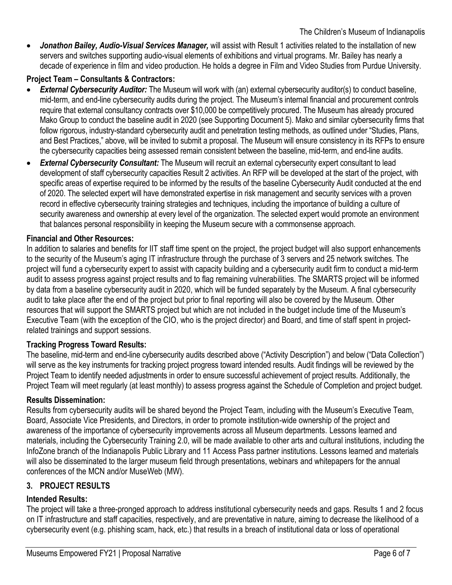*Jonathon Bailey, Audio-Visual Services Manager,* will assist with Result 1 activities related to the installation of new servers and switches supporting audio-visual elements of exhibitions and virtual programs. Mr. Bailey has nearly a decade of experience in film and video production. He holds a degree in Film and Video Studies from Purdue University.

# **Project Team – Consultants & Contractors:**

- *External Cybersecurity Auditor:* The Museum will work with (an) external cybersecurity auditor(s) to conduct baseline, mid-term, and end-line cybersecurity audits during the project. The Museum's internal financial and procurement controls require that external consultancy contracts over \$10,000 be competitively procured. The Museum has already procured Mako Group to conduct the baseline audit in 2020 (see Supporting Document 5). Mako and similar cybersecurity firms that follow rigorous, industry-standard cybersecurity audit and penetration testing methods, as outlined under "Studies, Plans, and Best Practices," above, will be invited to submit a proposal. The Museum will ensure consistency in its RFPs to ensure the cybersecurity capacities being assessed remain consistent between the baseline, mid-term, and end-line audits.
- *External Cybersecurity Consultant:* The Museum will recruit an external cybersecurity expert consultant to lead development of staff cybersecurity capacities Result 2 activities. An RFP will be developed at the start of the project, with specific areas of expertise required to be informed by the results of the baseline Cybersecurity Audit conducted at the end of 2020. The selected expert will have demonstrated expertise in risk management and security services with a proven record in effective cybersecurity training strategies and techniques, including the importance of building a culture of security awareness and ownership at every level of the organization. The selected expert would promote an environment that balances personal responsibility in keeping the Museum secure with a commonsense approach.

#### **Financial and Other Resources:**

In addition to salaries and benefits for IIT staff time spent on the project, the project budget will also support enhancements to the security of the Museum's aging IT infrastructure through the purchase of 3 servers and 25 network switches. The project will fund a cybersecurity expert to assist with capacity building and a cybersecurity audit firm to conduct a mid-term audit to assess progress against project results and to flag remaining vulnerabilities. The SMARTS project will be informed by data from a baseline cybersecurity audit in 2020, which will be funded separately by the Museum. A final cybersecurity audit to take place after the end of the project but prior to final reporting will also be covered by the Museum. Other resources that will support the SMARTS project but which are not included in the budget include time of the Museum's Executive Team (with the exception of the CIO, who is the project director) and Board, and time of staff spent in projectrelated trainings and support sessions.

#### **Tracking Progress Toward Results:**

The baseline, mid-term and end-line cybersecurity audits described above ("Activity Description") and below ("Data Collection") will serve as the key instruments for tracking project progress toward intended results. Audit findings will be reviewed by the Project Team to identify needed adjustments in order to ensure successful achievement of project results. Additionally, the Project Team will meet regularly (at least monthly) to assess progress against the Schedule of Completion and project budget.

#### **Results Dissemination:**

Results from cybersecurity audits will be shared beyond the Project Team, including with the Museum's Executive Team, Board, Associate Vice Presidents, and Directors, in order to promote institution-wide ownership of the project and awareness of the importance of cybersecurity improvements across all Museum departments. Lessons learned and materials, including the Cybersecurity Training 2.0, will be made available to other arts and cultural institutions, including the InfoZone branch of the Indianapolis Public Library and 11 Access Pass partner institutions. Lessons learned and materials will also be disseminated to the larger museum field through presentations, webinars and whitepapers for the annual conferences of the MCN and/or MuseWeb (MW).

#### **3. PROJECT RESULTS**

#### **Intended Results:**

The project will take a three-pronged approach to address institutional cybersecurity needs and gaps. Results 1 and 2 focus on IT infrastructure and staff capacities, respectively, and are preventative in nature, aiming to decrease the likelihood of a cybersecurity event (e.g. phishing scam, hack, etc.) that results in a breach of institutional data or loss of operational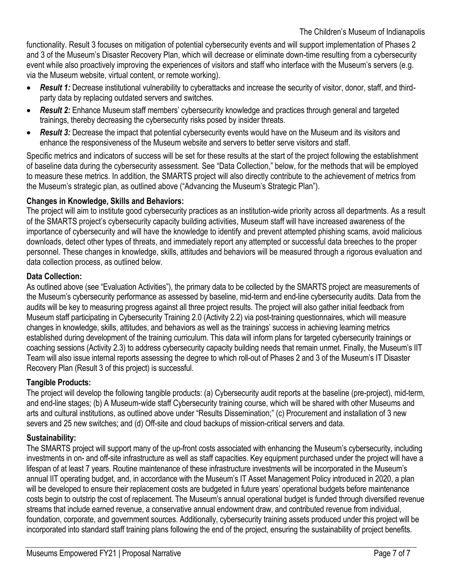functionality. Result 3 focuses on mitigation of potential cybersecurity events and will support implementation of Phases 2 and 3 of the Museum's Disaster Recovery Plan, which will decrease or eliminate down-time resulting from a cybersecurity event while also proactively improving the experiences of visitors and staff who interface with the Museum's servers (e.g. via the Museum website, virtual content, or remote working).

- *Result 1:* Decrease institutional vulnerability to cyberattacks and increase the security of visitor, donor, staff, and thirdparty data by replacing outdated servers and switches.
- *Result 2:* Enhance Museum staff members' cybersecurity knowledge and practices through general and targeted trainings, thereby decreasing the cybersecurity risks posed by insider threats.
- *Result 3:* Decrease the impact that potential cybersecurity events would have on the Museum and its visitors and enhance the responsiveness of the Museum website and servers to better serve visitors and staff.

Specific metrics and indicators of success will be set for these results at the start of the project following the establishment of baseline data during the cybersecurity assessment. See "Data Collection," below, for the methods that will be employed to measure these metrics. In addition, the SMARTS project will also directly contribute to the achievement of metrics from the Museum's strategic plan, as outlined above ("Advancing the Museum's Strategic Plan").

#### **Changes in Knowledge, Skills and Behaviors:**

The project will aim to institute good cybersecurity practices as an institution-wide priority across all departments. As a result of the SMARTS project's cybersecurity capacity building activities, Museum staff will have increased awareness of the importance of cybersecurity and will have the knowledge to identify and prevent attempted phishing scams, avoid malicious downloads, detect other types of threats, and immediately report any attempted or successful data breeches to the proper personnel. These changes in knowledge, skills, attitudes and behaviors will be measured through a rigorous evaluation and data collection process, as outlined below.

#### **Data Collection:**

As outlined above (see "Evaluation Activities"), the primary data to be collected by the SMARTS project are measurements of the Museum's cybersecurity performance as assessed by baseline, mid-term and end-line cybersecurity audits. Data from the audits will be key to measuring progress against all three project results. The project will also gather initial feedback from Museum staff participating in Cybersecurity Training 2.0 (Activity 2.2) via post-training questionnaires, which will measure changes in knowledge, skills, attitudes, and behaviors as well as the trainings' success in achieving learning metrics established during development of the training curriculum. This data will inform plans for targeted cybersecurity trainings or coaching sessions (Activity 2.3) to address cybersecurity capacity building needs that remain unmet. Finally, the Museum's IIT Team will also issue internal reports assessing the degree to which roll-out of Phases 2 and 3 of the Museum's IT Disaster Recovery Plan (Result 3 of this project) is successful.

# **Tangible Products:**

The project will develop the following tangible products: (a) Cybersecurity audit reports at the baseline (pre-project), mid-term, and end-line stages; (b) A Museum-wide staff Cybersecurity training course, which will be shared with other Museums and arts and cultural institutions, as outlined above under "Results Dissemination;" (c) Procurement and installation of 3 new severs and 25 new switches; and (d) Off-site and cloud backups of mission-critical servers and data.

# **Sustainability:**

The SMARTS project will support many of the up-front costs associated with enhancing the Museum's cybersecurity, including investments in on- and off-site infrastructure as well as staff capacities. Key equipment purchased under the project will have a lifespan of at least 7 years. Routine maintenance of these infrastructure investments will be incorporated in the Museum's annual IIT operating budget, and, in accordance with the Museum's IT Asset Management Policy introduced in 2020, a plan will be developed to ensure their replacement costs are budgeted in future years' operational budgets before maintenance costs begin to outstrip the cost of replacement. The Museum's annual operational budget is funded through diversified revenue streams that include earned revenue, a conservative annual endowment draw, and contributed revenue from individual, foundation, corporate, and government sources. Additionally, cybersecurity training assets produced under this project will be incorporated into standard staff training plans following the end of the project, ensuring the sustainability of project benefits.